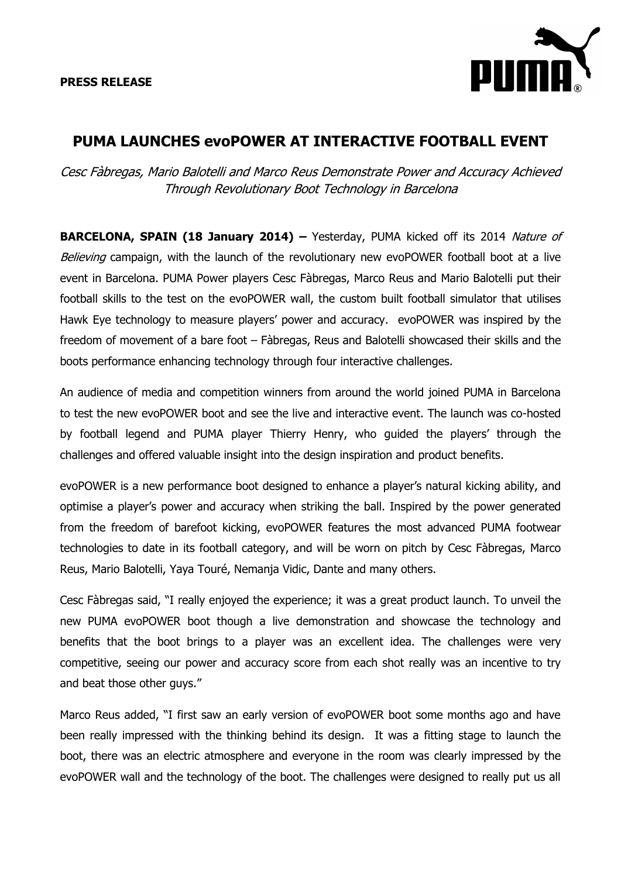

## **PUMA LAUNCHES evoPOWER AT INTERACTIVE FOOTBALL EVENT**

Cesc Fàbregas, Mario Balotelli and Marco Reus Demonstrate Power and Accuracy Achieved Through Revolutionary Boot Technology in Barcelona

**BARCELONA, SPAIN (18 January 2014)** - Yesterday, PUMA kicked off its 2014 Nature of Believing campaign, with the launch of the revolutionary new evoPOWER football boot at a live event in Barcelona. PUMA Power players Cesc Fàbregas, Marco Reus and Mario Balotelli put their football skills to the test on the evoPOWER wall, the custom built football simulator that utilises Hawk Eye technology to measure players' power and accuracy. evoPOWER was inspired by the freedom of movement of a bare foot – Fàbregas, Reus and Balotelli showcased their skills and the boots performance enhancing technology through four interactive challenges.

An audience of media and competition winners from around the world joined PUMA in Barcelona to test the new evoPOWER boot and see the live and interactive event. The launch was co-hosted by football legend and PUMA player Thierry Henry, who guided the players' through the challenges and offered valuable insight into the design inspiration and product benefits.

evoPOWER is a new performance boot designed to enhance a player's natural kicking ability, and optimise a player's power and accuracy when striking the ball. Inspired by the power generated from the freedom of barefoot kicking, evoPOWER features the most advanced PUMA footwear technologies to date in its football category, and will be worn on pitch by Cesc Fàbregas, Marco Reus, Mario Balotelli, Yaya Touré, Nemanja Vidic, Dante and many others.

Cesc Fàbregas said, "I really enjoyed the experience; it was a great product launch. To unveil the new PUMA evoPOWER boot though a live demonstration and showcase the technology and benefits that the boot brings to a player was an excellent idea. The challenges were very competitive, seeing our power and accuracy score from each shot really was an incentive to try and beat those other guys."

Marco Reus added, "I first saw an early version of evoPOWER boot some months ago and have been really impressed with the thinking behind its design. It was a fitting stage to launch the boot, there was an electric atmosphere and everyone in the room was clearly impressed by the evoPOWER wall and the technology of the boot. The challenges were designed to really put us all